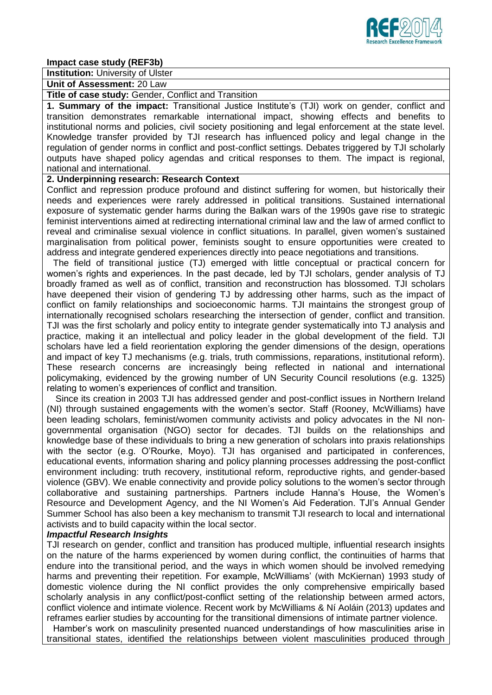

#### **Impact case study (REF3b)**

**Institution:** University of Ulster

#### **Unit of Assessment:** 20 Law

**Title of case study:** Gender, Conflict and Transition

**1. Summary of the impact:** Transitional Justice Institute's (TJI) work on gender, conflict and transition demonstrates remarkable international impact, showing effects and benefits to institutional norms and policies, civil society positioning and legal enforcement at the state level. Knowledge transfer provided by TJI research has influenced policy and legal change in the regulation of gender norms in conflict and post-conflict settings. Debates triggered by TJI scholarly outputs have shaped policy agendas and critical responses to them. The impact is regional, national and international.

### **2. Underpinning research: Research Context**

Conflict and repression produce profound and distinct suffering for women, but historically their needs and experiences were rarely addressed in political transitions. Sustained international exposure of systematic gender harms during the Balkan wars of the 1990s gave rise to strategic feminist interventions aimed at redirecting international criminal law and the law of armed conflict to reveal and criminalise sexual violence in conflict situations. In parallel, given women's sustained marginalisation from political power, feminists sought to ensure opportunities were created to address and integrate gendered experiences directly into peace negotiations and transitions.

The field of transitional justice (TJ) emerged with little conceptual or practical concern for women's rights and experiences. In the past decade, led by TJI scholars, gender analysis of TJ broadly framed as well as of conflict, transition and reconstruction has blossomed. TJI scholars have deepened their vision of gendering TJ by addressing other harms, such as the impact of conflict on family relationships and socioeconomic harms. TJI maintains the strongest group of internationally recognised scholars researching the intersection of gender, conflict and transition. TJI was the first scholarly and policy entity to integrate gender systematically into TJ analysis and practice, making it an intellectual and policy leader in the global development of the field. TJI scholars have led a field reorientation exploring the gender dimensions of the design, operations and impact of key TJ mechanisms (e.g. trials, truth commissions, reparations, institutional reform). These research concerns are increasingly being reflected in national and international policymaking, evidenced by the growing number of UN Security Council resolutions (e.g. 1325) relating to women's experiences of conflict and transition.

Since its creation in 2003 TJI has addressed gender and post-conflict issues in Northern Ireland (NI) through sustained engagements with the women's sector. Staff (Rooney, McWilliams) have been leading scholars, feminist/women community activists and policy advocates in the NI nongovernmental organisation (NGO) sector for decades. TJI builds on the relationships and knowledge base of these individuals to bring a new generation of scholars into praxis relationships with the sector (e.g. O'Rourke, Moyo). TJI has organised and participated in conferences, educational events, information sharing and policy planning processes addressing the post-conflict environment including: truth recovery, institutional reform, reproductive rights, and gender-based violence (GBV). We enable connectivity and provide policy solutions to the women's sector through collaborative and sustaining partnerships. Partners include Hanna's House, the Women's Resource and Development Agency, and the NI Women's Aid Federation. TJI's Annual Gender Summer School has also been a key mechanism to transmit TJI research to local and international activists and to build capacity within the local sector.

### *Impactful Research Insights*

TJI research on gender, conflict and transition has produced multiple, influential research insights on the nature of the harms experienced by women during conflict, the continuities of harms that endure into the transitional period, and the ways in which women should be involved remedying harms and preventing their repetition. For example, McWilliams' (with McKiernan) 1993 study of domestic violence during the NI conflict provides the only comprehensive empirically based scholarly analysis in any conflict/post-conflict setting of the relationship between armed actors, conflict violence and intimate violence. Recent work by McWilliams & Ní Aoláin (2013) updates and reframes earlier studies by accounting for the transitional dimensions of intimate partner violence.

Hamber's work on masculinity presented nuanced understandings of how masculinities arise in transitional states, identified the relationships between violent masculinities produced through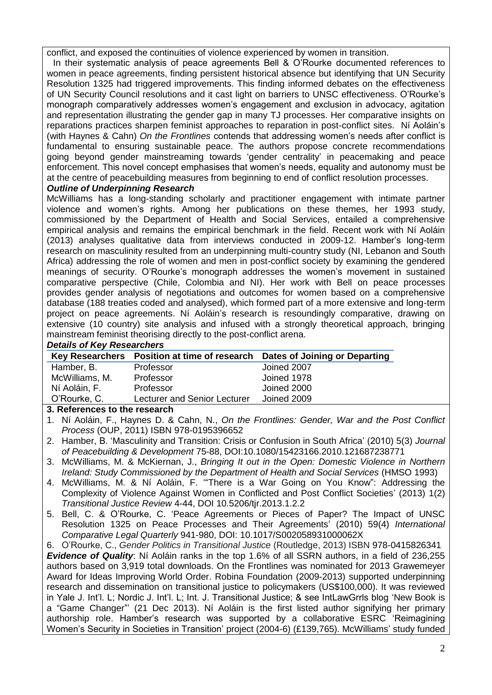conflict, and exposed the continuities of violence experienced by women in transition.

In their systematic analysis of peace agreements Bell & O'Rourke documented references to women in peace agreements, finding persistent historical absence but identifying that UN Security Resolution 1325 had triggered improvements. This finding informed debates on the effectiveness of UN Security Council resolutions and it cast light on barriers to UNSC effectiveness. O'Rourke's monograph comparatively addresses women's engagement and exclusion in advocacy, agitation and representation illustrating the gender gap in many TJ processes. Her comparative insights on reparations practices sharpen feminist approaches to reparation in post-conflict sites. Ní Aoláin's (with Haynes & Cahn) *On the Frontlines* contends that addressing women's needs after conflict is fundamental to ensuring sustainable peace. The authors propose concrete recommendations going beyond gender mainstreaming towards 'gender centrality' in peacemaking and peace enforcement. This novel concept emphasises that women's needs, equality and autonomy must be at the centre of peacebuilding measures from beginning to end of conflict resolution processes.

## *Outline of Underpinning Research*

McWilliams has a long-standing scholarly and practitioner engagement with intimate partner violence and women's rights. Among her publications on these themes, her 1993 study, commissioned by the Department of Health and Social Services, entailed a comprehensive empirical analysis and remains the empirical benchmark in the field. Recent work with Ní Aoláin (2013) analyses qualitative data from interviews conducted in 2009-12. Hamber's long-term research on masculinity resulted from an underpinning multi-country study (NI, Lebanon and South Africa) addressing the role of women and men in post-conflict society by examining the gendered meanings of security. O'Rourke's monograph addresses the women's movement in sustained comparative perspective (Chile, Colombia and NI). Her work with Bell on peace processes provides gender analysis of negotiations and outcomes for women based on a comprehensive database (188 treaties coded and analysed), which formed part of a more extensive and long-term project on peace agreements. Ní Aoláin's research is resoundingly comparative, drawing on extensive (10 country) site analysis and infused with a strongly theoretical approach, bringing mainstream feminist theorising directly to the post-conflict arena.

### *Details of Key Researchers*

|                |                              | Key Researchers Position at time of research Dates of Joining or Departing |
|----------------|------------------------------|----------------------------------------------------------------------------|
| Hamber, B.     | Professor                    | Joined 2007                                                                |
| McWilliams, M. | Professor                    | Joined 1978                                                                |
| Ní Aoláin, F.  | Professor                    | Joined 2000                                                                |
| O'Rourke, C.   | Lecturer and Senior Lecturer | Joined 2009                                                                |

### **3. References to the research**

- 3. McWilliams, M. & McKiernan, J., *Bringing It out in the Open: Domestic Violence in Northern Ireland: Study Commissioned by the Department of Health and Social Services* (HMSO 1993)
- 4. McWilliams, M. & Ní Aoláin, F. '"There is a War Going on You Know": Addressing the Complexity of Violence Against Women in Conflicted and Post Conflict Societies' (2013) 1(2) *Transitional Justice Review* 4-44, DOI 10.5206/tjr.2013.1.2.2
- 5. Bell, C. & O'Rourke, C. 'Peace Agreements or Pieces of Paper? The Impact of UNSC Resolution 1325 on Peace Processes and Their Agreements' (2010) 59(4) *International Comparative Legal Quarterly* 941-980, DOI: 10.1017/S002058931000062X

6. O'Rourke, C., *Gender Politics in Transitional Justice* (Routledge, 2013) ISBN 978-0415826341 *Evidence of Quality*: Ní Aoláin ranks in the top 1.6% of all SSRN authors, in a field of 236,255 authors based on 3,919 total downloads. On the Frontlines was nominated for 2013 Grawemeyer Award for Ideas Improving World Order. Robina Foundation (2009-2013) supported underpinning research and dissemination on transitional justice to policymakers (US\$100,000). It was reviewed in Yale J. Int'l. L; Nordic J. Int'l. L; Int. J. Transitional Justice; & see IntLawGrrls blog 'New Book is a "Game Changer"' (21 Dec 2013). Ní Aoláin is the first listed author signifying her primary authorship role. Hamber's research was supported by a collaborative ESRC 'Reimagining Women's Security in Societies in Transition' project (2004-6) (£139,765). McWilliams' study funded

<sup>1.</sup> Ní Aoláin, F., Haynes D. & Cahn, N., *On the Frontlines: Gender, War and the Post Conflict Process* (OUP, 2011) ISBN 978-0195396652

<sup>2.</sup> Hamber, B. 'Masculinity and Transition: Crisis or Confusion in South Africa' (2010) 5(3) *Journal of Peacebuilding & Development* 75-88, DOI:10.1080/15423166.2010.121687238771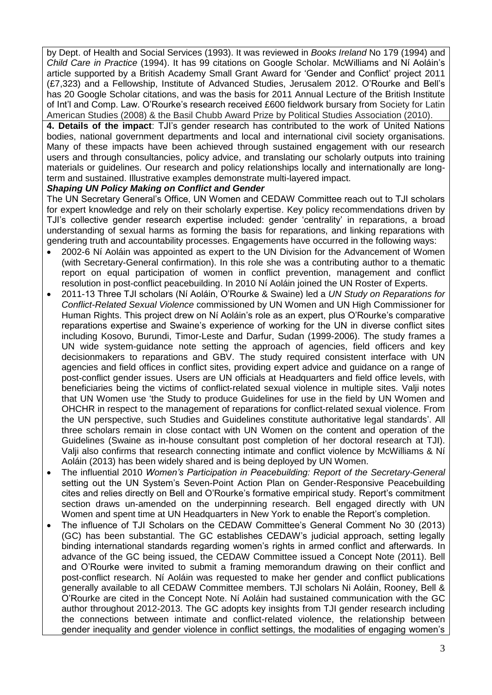by Dept. of Health and Social Services (1993). It was reviewed in *Books Ireland* No 179 (1994) and *Child Care in Practice* (1994). It has 99 citations on Google Scholar. McWilliams and Ní Aoláin's article supported by a British Academy Small Grant Award for 'Gender and Conflict' project 2011 (£7,323) and a Fellowship, Institute of Advanced Studies, Jerusalem 2012. O'Rourke and Bell's has 20 Google Scholar citations, and was the basis for 2011 Annual Lecture of the British Institute of Int'l and Comp. Law. O'Rourke's research received £600 fieldwork bursary from Society for Latin American Studies (2008) & the Basil Chubb Award Prize by Political Studies Association (2010).

**4. Details of the impact**: TJI's gender research has contributed to the work of United Nations bodies, national government departments and local and international civil society organisations. Many of these impacts have been achieved through sustained engagement with our research users and through consultancies, policy advice, and translating our scholarly outputs into training materials or guidelines. Our research and policy relationships locally and internationally are longterm and sustained. Illustrative examples demonstrate multi-layered impact.

### *Shaping UN Policy Making on Conflict and Gender*

The UN Secretary General's Office, UN Women and CEDAW Committee reach out to TJI scholars for expert knowledge and rely on their scholarly expertise. Key policy recommendations driven by TJI's collective gender research expertise included: gender 'centrality' in reparations, a broad understanding of sexual harms as forming the basis for reparations, and linking reparations with gendering truth and accountability processes. Engagements have occurred in the following ways:

- 2002-6 Ní Aoláin was appointed as expert to the UN Division for the Advancement of Women (with Secretary-General confirmation). In this role she was a contributing author to a thematic report on equal participation of women in conflict prevention, management and conflict resolution in post-conflict peacebuilding. In 2010 Ní Aoláin joined the UN Roster of Experts.
- 2011-13 Three TJI scholars (Ní Aoláin, O'Rourke & Swaine) led a *UN Study on Reparations for Conflict-Related Sexual Violence* commissioned by UN Women and UN High Commissioner for Human Rights. This project drew on Ní Aoláin's role as an expert, plus O'Rourke's comparative reparations expertise and Swaine's experience of working for the UN in diverse conflict sites including Kosovo, Burundi, Timor-Leste and Darfur, Sudan (1999-2006). The study frames a UN wide system-guidance note setting the approach of agencies, field officers and key decisionmakers to reparations and GBV. The study required consistent interface with UN agencies and field offices in conflict sites, providing expert advice and guidance on a range of post-conflict gender issues. Users are UN officials at Headquarters and field office levels, with beneficiaries being the victims of conflict-related sexual violence in multiple sites. Valji notes that UN Women use 'the Study to produce Guidelines for use in the field by UN Women and OHCHR in respect to the management of reparations for conflict-related sexual violence. From the UN perspective, such Studies and Guidelines constitute authoritative legal standards'. All three scholars remain in close contact with UN Women on the content and operation of the Guidelines (Swaine as in-house consultant post completion of her doctoral research at TJI). Valji also confirms that research connecting intimate and conflict violence by McWilliams & Ní Aoláin (2013) has been widely shared and is being deployed by UN Women.
- The influential 2010 *Women's Participation in Peacebuilding: Report of the Secretary-General* setting out the UN System's Seven-Point Action Plan on Gender-Responsive Peacebuilding cites and relies directly on Bell and O'Rourke's formative empirical study. Report's commitment section draws un-amended on the underpinning research. Bell engaged directly with UN Women and spent time at UN Headquarters in New York to enable the Report's completion.
- The influence of TJI Scholars on the CEDAW Committee's General Comment No 30 (2013) (GC) has been substantial. The GC establishes CEDAW's judicial approach, setting legally binding international standards regarding women's rights in armed conflict and afterwards. In advance of the GC being issued, the CEDAW Committee issued a Concept Note (2011). Bell and O'Rourke were invited to submit a framing memorandum drawing on their conflict and post-conflict research. Ní Aoláin was requested to make her gender and conflict publications generally available to all CEDAW Committee members. TJI scholars Ni Aoláin, Rooney, Bell & O'Rourke are cited in the Concept Note. Ní Aoláin had sustained communication with the GC author throughout 2012-2013. The GC adopts key insights from TJI gender research including the connections between intimate and conflict-related violence, the relationship between gender inequality and gender violence in conflict settings, the modalities of engaging women's